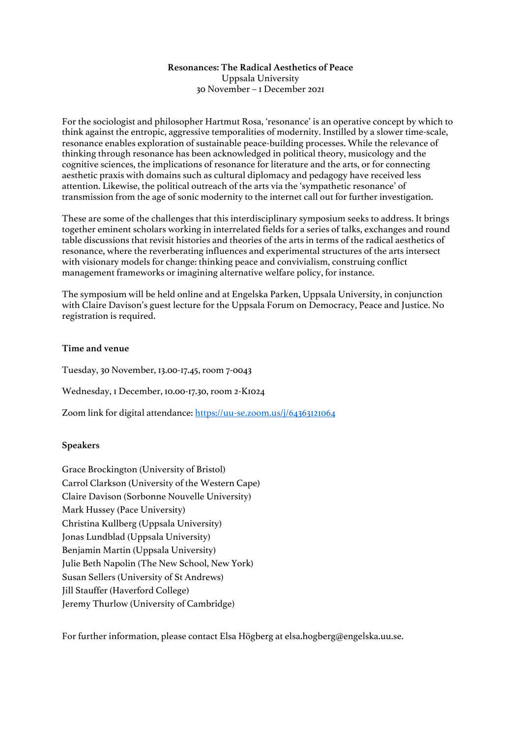## **Resonances: The Radical Aesthetics of Peace** Uppsala University 30 November – 1 December 2021

For the sociologist and philosopher Hartmut Rosa, 'resonance' is an operative concept by which to think against the entropic, aggressive temporalities of modernity. Instilled by a slower time-scale, resonance enables exploration of sustainable peace-building processes. While the relevance of thinking through resonance has been acknowledged in political theory, musicology and the cognitive sciences, the implications of resonance for literature and the arts, or for connecting aesthetic praxis with domains such as cultural diplomacy and pedagogy have received less attention. Likewise, the political outreach of the arts via the 'sympathetic resonance' of transmission from the age of sonic modernity to the internet call out for further investigation.

These are some of the challenges that this interdisciplinary symposium seeks to address. It brings together eminent scholars working in interrelated fields for a series of talks, exchanges and round table discussions that revisit histories and theories of the arts in terms of the radical aesthetics of resonance, where the reverberating influences and experimental structures of the arts intersect with visionary models for change: thinking peace and convivialism, construing conflict management frameworks or imagining alternative welfare policy, for instance.

The symposium will be held online and at Engelska Parken, Uppsala University, in conjunction with Claire Davison's guest lecture for the Uppsala Forum on Democracy, Peace and Justice. No registration is required.

## **Time and venue**

Tuesday, 30 November, 13.00-17.45, room 7-0043

Wednesday, 1 December, 10.00-17.30, room 2-K1024

Zoom link for digital attendance: https://uu-se.zoom.us/j/64363121064

#### **Speakers**

Grace Brockington (University of Bristol) Carrol Clarkson (University of the Western Cape) Claire Davison (Sorbonne Nouvelle University) Mark Hussey (Pace University) Christina Kullberg (Uppsala University) Jonas Lundblad (Uppsala University) Benjamin Martin (Uppsala University) Julie Beth Napolin (The New School, New York) Susan Sellers (University of St Andrews) Jill Stauffer (Haverford College) Jeremy Thurlow (University of Cambridge)

For further information, please contact Elsa Högberg at elsa.hogberg@engelska.uu.se.